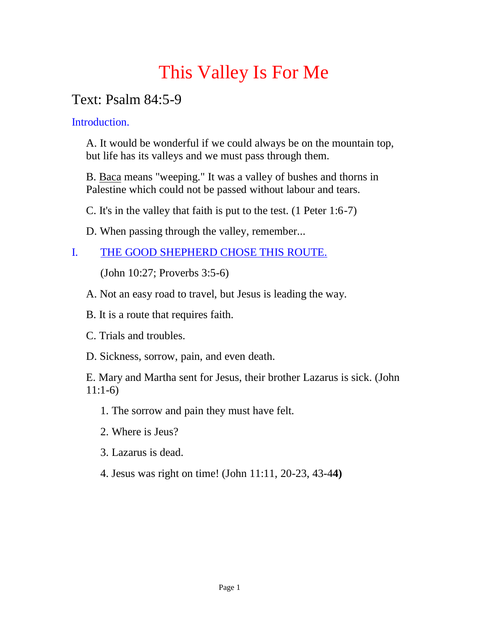# This Valley Is For Me

# Text: Psalm 84:5-9

Introduction.

A. It would be wonderful if we could always be on the mountain top, but life has its valleys and we must pass through them.

B. Baca means "weeping." It was a valley of bushes and thorns in Palestine which could not be passed without labour and tears.

C. It's in the valley that faith is put to the test. (1 Peter 1:6-7)

D. When passing through the valley, remember...

## I. THE GOOD SHEPHERD CHOSE THIS ROUTE.

(John 10:27; Proverbs 3:5-6)

A. Not an easy road to travel, but Jesus is leading the way.

B. It is a route that requires faith.

C. Trials and troubles.

D. Sickness, sorrow, pain, and even death.

E. Mary and Martha sent for Jesus, their brother Lazarus is sick. (John 11:1-6)

1. The sorrow and pain they must have felt.

- 2. Where is Jeus?
- 3. Lazarus is dead.
- 4. Jesus was right on time! (John 11:11, 20-23, 43-4**4)**